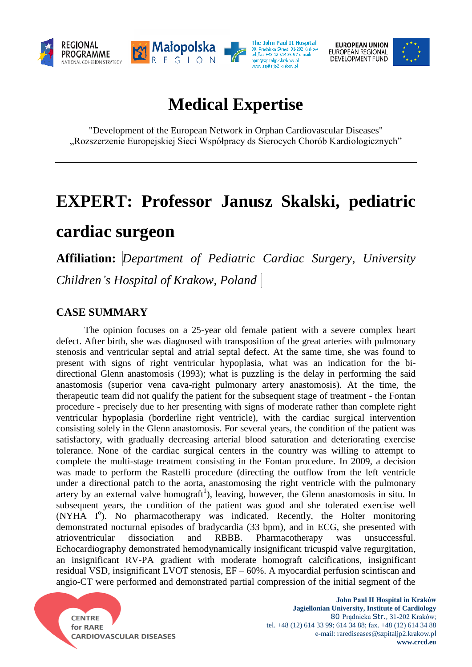

**EUROPEAN UNION** EUROPEAN REGIONAL<br>DEVELOPMENT FUND



# **Medical Expertise**

"Development of the European Network in Orphan Cardiovascular Diseases" "Rozszerzenie Europejskiej Sieci Współpracy ds Sierocych Chorób Kardiologicznych"

# **EXPERT: Professor Janusz Skalski, pediatric cardiac surgeon**

**Affiliation:** *Department of Pediatric Cardiac Surgery, University Children's Hospital of Krakow, Poland*

## **CASE SUMMARY**

The opinion focuses on a 25-year old female patient with a severe complex heart defect. After birth, she was diagnosed with transposition of the great arteries with pulmonary stenosis and ventricular septal and atrial septal defect. At the same time, she was found to present with signs of right ventricular hypoplasia, what was an indication for the bidirectional Glenn anastomosis (1993); what is puzzling is the delay in performing the said anastomosis (superior vena cava-right pulmonary artery anastomosis). At the time, the therapeutic team did not qualify the patient for the subsequent stage of treatment - the Fontan procedure - precisely due to her presenting with signs of moderate rather than complete right ventricular hypoplasia (borderline right ventricle), with the cardiac surgical intervention consisting solely in the Glenn anastomosis. For several years, the condition of the patient was satisfactory, with gradually decreasing arterial blood saturation and deteriorating exercise tolerance. None of the cardiac surgical centers in the country was willing to attempt to complete the multi-stage treatment consisting in the Fontan procedure. In 2009, a decision was made to perform the Rastelli procedure (directing the outflow from the left ventricle under a directional patch to the aorta, anastomosing the right ventricle with the pulmonary artery by an external valve homograft<sup>1</sup>), leaving, however, the Glenn anastomosis in situ. In subsequent years, the condition of the patient was good and she tolerated exercise well (NYHA I<sup>o</sup>). No pharmacotherapy was indicated. Recently, the Holter monitoring demonstrated nocturnal episodes of bradycardia (33 bpm), and in ECG, she presented with atrioventricular dissociation and RBBB. Pharmacotherapy was unsuccessful. Echocardiography demonstrated hemodynamically insignificant tricuspid valve regurgitation, an insignificant RV-PA gradient with moderate homograft calcifications, insignificant residual VSD, insignificant LVOT stenosis, EF – 60%. A myocardial perfusion scintiscan and angio-CT were performed and demonstrated partial compression of the initial segment of the

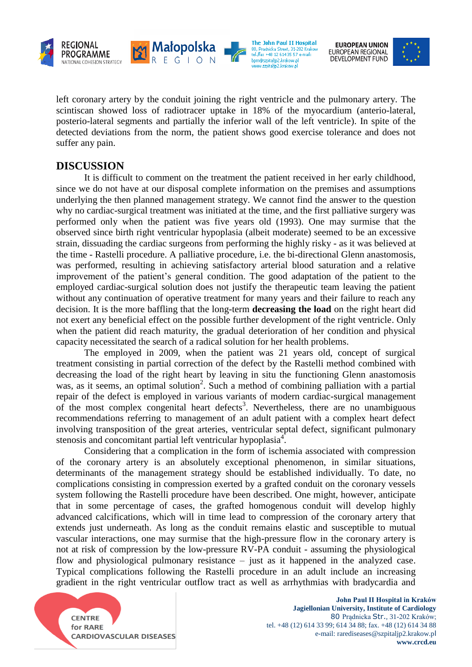

**EUROPEAN UNION** EUROPEAN REGIONAL<br>DEVELOPMENT FUND

left coronary artery by the conduit joining the right ventricle and the pulmonary artery. The scintiscan showed loss of radiotracer uptake in 18% of the myocardium (anterio-lateral, posterio-lateral segments and partially the inferior wall of the left ventricle). In spite of the detected deviations from the norm, the patient shows good exercise tolerance and does not suffer any pain.

Małopolska

The John Paul II Hospital

80, Pradnicka Street, 31-202 Krakov<br>tel./fax +48 12 614 35 57 e-mail:

bpm@szpitaljp2.krakow.pl

www.szpitalip2.krakow.p

### **DISCUSSION**

It is difficult to comment on the treatment the patient received in her early childhood, since we do not have at our disposal complete information on the premises and assumptions underlying the then planned management strategy. We cannot find the answer to the question why no cardiac-surgical treatment was initiated at the time, and the first palliative surgery was performed only when the patient was five years old (1993). One may surmise that the observed since birth right ventricular hypoplasia (albeit moderate) seemed to be an excessive strain, dissuading the cardiac surgeons from performing the highly risky - as it was believed at the time - Rastelli procedure. A palliative procedure, i.e. the bi-directional Glenn anastomosis, was performed, resulting in achieving satisfactory arterial blood saturation and a relative improvement of the patient's general condition. The good adaptation of the patient to the employed cardiac-surgical solution does not justify the therapeutic team leaving the patient without any continuation of operative treatment for many years and their failure to reach any decision. It is the more baffling that the long-term **decreasing the load** on the right heart did not exert any beneficial effect on the possible further development of the right ventricle. Only when the patient did reach maturity, the gradual deterioration of her condition and physical capacity necessitated the search of a radical solution for her health problems.

The employed in 2009, when the patient was 21 years old, concept of surgical treatment consisting in partial correction of the defect by the Rastelli method combined with decreasing the load of the right heart by leaving in situ the functioning Glenn anastomosis was, as it seems, an optimal solution<sup>2</sup>. Such a method of combining palliation with a partial repair of the defect is employed in various variants of modern cardiac-surgical management of the most complex congenital heart defects<sup>3</sup>. Nevertheless, there are no unambiguous recommendations referring to management of an adult patient with a complex heart defect involving transposition of the great arteries, ventricular septal defect, significant pulmonary stenosis and concomitant partial left ventricular hypoplasia<sup>4</sup>.

Considering that a complication in the form of ischemia associated with compression of the coronary artery is an absolutely exceptional phenomenon, in similar situations, determinants of the management strategy should be established individually. To date, no complications consisting in compression exerted by a grafted conduit on the coronary vessels system following the Rastelli procedure have been described. One might, however, anticipate that in some percentage of cases, the grafted homogenous conduit will develop highly advanced calcifications, which will in time lead to compression of the coronary artery that extends just underneath. As long as the conduit remains elastic and susceptible to mutual vascular interactions, one may surmise that the high-pressure flow in the coronary artery is not at risk of compression by the low-pressure RV-PA conduit - assuming the physiological flow and physiological pulmonary resistance – just as it happened in the analyzed case. Typical complications following the Rastelli procedure in an adult include an increasing gradient in the right ventricular outflow tract as well as arrhythmias with bradycardia and